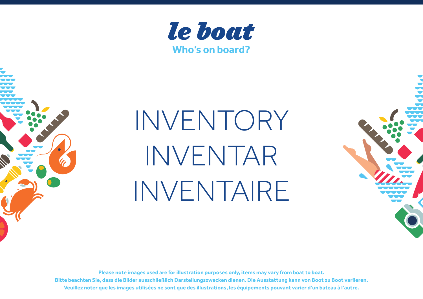



# INVENTORY INVENTAR INVENTAIRE

**Please note images used are for illustration purposes only, items may vary from boat to boat. Bitte beachten Sie, dass die Bilder ausschließlich Darstellungszwecken dienen. Die Ausstattung kann von Boot zu Boot variieren. Veuillez noter que les images utilisées ne sont que des illustrations, les équipements pouvant varier d'un bateau à l'autre.**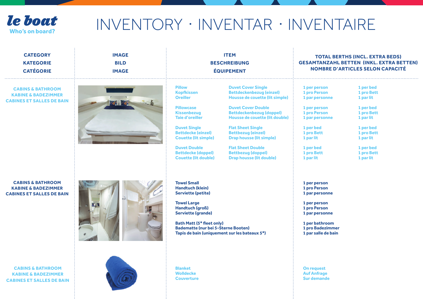

| <b>CATEGORY</b><br><b>KATEGORIE</b><br><b>CATÉGORIE</b>                                            | <b>ITEM</b><br><b>IMAGE</b><br><b>BILD</b><br><b>BESCHREIBUNG</b><br><b>ÉQUIPEMENT</b><br><b>IMAGE</b> |                                                                                                                                                                                                                                                                                                  | <b>TOTAL BERTHS (INCL. EXTRA BEDS)</b><br><b>GESAMTANZAHL BETTEN (INKL. EXTRA BETTEN)</b><br><b>NOMBRE D'ARTICLES SELON CAPACITÉ</b>                                                                                                                                                                                                                                                     |                                                                                                                                                                                  |                                                                                                                                                              |
|----------------------------------------------------------------------------------------------------|--------------------------------------------------------------------------------------------------------|--------------------------------------------------------------------------------------------------------------------------------------------------------------------------------------------------------------------------------------------------------------------------------------------------|------------------------------------------------------------------------------------------------------------------------------------------------------------------------------------------------------------------------------------------------------------------------------------------------------------------------------------------------------------------------------------------|----------------------------------------------------------------------------------------------------------------------------------------------------------------------------------|--------------------------------------------------------------------------------------------------------------------------------------------------------------|
| <b>CABINS &amp; BATHROOM</b><br><b>KABINE &amp; BADEZIMMER</b><br><b>CABINES ET SALLES DE BAIN</b> |                                                                                                        | <b>Pillow</b><br><b>Kopfkissen</b><br><b>Oreiller</b><br><b>Pillowcase</b><br><b>Kissenbezug</b><br><b>Taie d'oreiller</b><br><b>Duvet Single</b><br><b>Bettdecke (einzel)</b><br><b>Couette (lit simple)</b><br><b>Duvet Double</b><br><b>Bettdecke (doppel)</b><br><b>Couette (lit double)</b> | <b>Duvet Cover Single</b><br><b>Bettdeckenbezug (einzel)</b><br>Housse de couette (lit simple)<br><b>Duvet Cover Double</b><br><b>Bettdeckenbezug (doppel)</b><br>Housse de couette (lit double)<br><b>Flat Sheet Single</b><br><b>Bettbezug (einzel)</b><br><b>Drap housse (lit simple)</b><br><b>Flat Sheet Double</b><br><b>Bettbezug (doppel)</b><br><b>Drap housse (lit double)</b> | 1 per person<br>1 pro Person<br>1 par personne<br>1 per person<br>1 pro Person<br>1 par personne<br>1 per bed<br>1 pro Bett<br>1 par lit<br>1 per bed<br>1 pro Bett<br>1 par lit | 1 per bed<br>1 pro Bett<br>1 par lit<br>1 per bed<br>1 pro Bett<br>1 par lit<br>1 per bed<br>1 pro Bett<br>1 par lit<br>1 per bed<br>1 pro Bett<br>1 par lit |
| <b>CABINS &amp; BATHROOM</b><br><b>KABINE &amp; BADEZIMMER</b><br><b>CABINES ET SALLES DE BAIN</b> |                                                                                                        | <b>Towel Small</b><br><b>Handtuch (klein)</b><br><b>Serviette (petite)</b><br><b>Towel Large</b><br><b>Handtuch (groß)</b><br><b>Serviette (grande)</b><br><b>Bath Matt (5* fleet only)</b><br><b>Badematte (nur bei 5-Sterne Booten)</b><br>Tapis de bain (uniquement sur les bateaux 5*)       |                                                                                                                                                                                                                                                                                                                                                                                          | 1 per person<br>1 pro Person<br>1 par personne<br>1 per person<br>1 pro Person<br>1 par personne<br>1 per bathroom<br>1 pro Badezimmer<br>1 par salle de bain                    |                                                                                                                                                              |
| <b>CABINS &amp; BATHROOM</b><br><b>KABINE &amp; BADEZIMMER</b><br><b>CABINES ET SALLES DE BAIN</b> |                                                                                                        | <b>Blanket</b><br><b>Wolldecke</b><br><b>Couverture</b>                                                                                                                                                                                                                                          |                                                                                                                                                                                                                                                                                                                                                                                          | <b>On request</b><br><b>Auf Anfrage</b><br><b>Sur demande</b>                                                                                                                    |                                                                                                                                                              |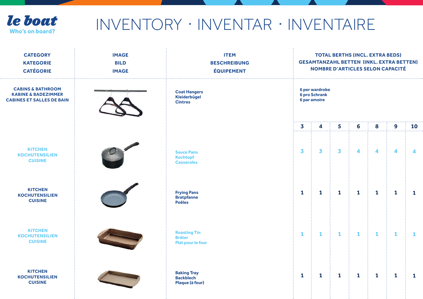

## **Ie boat** INVENTORY · INVENTAR · INVENTAIRE

| <b>CATEGORY</b><br><b>KATEGORIE</b><br><b>CATÉGORIE</b>                                            | <b>IMAGE</b><br><b>BILD</b><br><b>IMAGE</b> | <b>ITEM</b><br><b>BESCHREIBUNG</b><br><b>ÉQUIPEMENT</b>   | <b>TOTAL BERTHS (INCL. EXTRA BEDS)</b><br><b>GESAMTANZAHL BETTEN (INKL. EXTRA BETTEN)</b><br><b>NOMBRE D'ARTICLES SELON CAPACITÉ</b> |                         |              |                      |              |              |              |  |  |  |
|----------------------------------------------------------------------------------------------------|---------------------------------------------|-----------------------------------------------------------|--------------------------------------------------------------------------------------------------------------------------------------|-------------------------|--------------|----------------------|--------------|--------------|--------------|--|--|--|
| <b>CABINS &amp; BATHROOM</b><br><b>KABINE &amp; BADEZIMMER</b><br><b>CABINES ET SALLES DE BAIN</b> |                                             | <b>Coat Hangers</b><br>Kleiderbügel<br><b>Cintres</b>     | 6 per wardrobe<br><b>6 pro Schrank</b><br>6 par amoire                                                                               |                         |              |                      |              |              |              |  |  |  |
|                                                                                                    |                                             |                                                           | 3                                                                                                                                    | 4                       | 5            | 6                    | 8            | 9            | 10           |  |  |  |
| <b>KITCHEN</b><br><b>KOCHUTENSILIEN</b><br><b>CUISINE</b>                                          |                                             | <b>Sauce Pans</b><br><b>Kochtopf</b><br><b>Casseroles</b> | 3                                                                                                                                    | $\overline{\mathbf{3}}$ | 3            | $\blacktriangleleft$ | 4            | 4            | 4            |  |  |  |
| <b>KITCHEN</b><br><b>KOCHUTENSILIEN</b><br><b>CUISINE</b>                                          |                                             | <b>Frying Pans</b><br><b>Bratpfanne</b><br><b>Poêles</b>  | $\mathbf{1}$                                                                                                                         | $\mathbf{1}$            | $\mathbf{1}$ | $\mathbf{1}$         | $\mathbf{1}$ | $\mathbf 1$  | $\mathbf{1}$ |  |  |  |
| <b>KITCHEN</b><br><b>KOCHUTENSILIEN</b><br><b>CUISINE</b>                                          |                                             | <b>Roasting Tin</b><br><b>Bräter</b><br>Plat pour le four | $\mathbf{1}$                                                                                                                         | 1                       | $\mathbf{1}$ | $\mathbf{1}$         | $\mathbf{1}$ | $\mathbf{1}$ | 1            |  |  |  |
| <b>KITCHEN</b><br><b>KOCHUTENSILIEN</b><br><b>CUISINE</b>                                          |                                             | <b>Baking Tray</b><br><b>Backblech</b><br>Plaque (à four) | $\mathbf{1}$                                                                                                                         | $\mathbf{1}$            | $\mathbf{1}$ | $\mathbf{1}$         | $\mathbf{1}$ | $\mathbf{1}$ | $\mathbf{1}$ |  |  |  |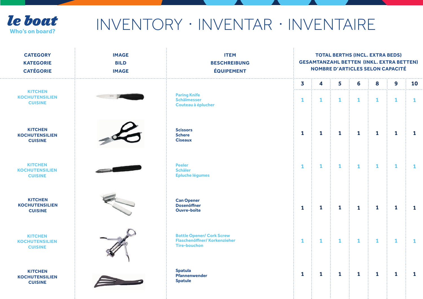

| <b>CATEGORY</b><br><b>KATEGORIE</b><br><b>CATÉGORIE</b>   | <b>IMAGE</b><br><b>BILD</b><br><b>IMAGE</b> | <b>ITEM</b><br><b>BESCHREIBUNG</b><br><b>ÉQUIPEMENT</b>                                       | <b>TOTAL BERTHS (INCL. EXTRA BEDS)</b><br><b>GESAMTANZAHL BETTEN (INKL. EXTRA BETTEN)</b><br><b>NOMBRE D'ARTICLES SELON CAPACITÉ</b> |              |              |              |              |              |              |  |
|-----------------------------------------------------------|---------------------------------------------|-----------------------------------------------------------------------------------------------|--------------------------------------------------------------------------------------------------------------------------------------|--------------|--------------|--------------|--------------|--------------|--------------|--|
| <b>KITCHEN</b>                                            |                                             |                                                                                               | 3<br>.                                                                                                                               | 4            | 5            | 6            | 8            | 9            | 10           |  |
| <b>KOCHUTENSILIEN</b><br><b>CUISINE</b>                   |                                             | <b>Paring Knife</b><br><b>Schälmesser</b><br>Couteau à éplucher                               | $\mathbf{1}$                                                                                                                         | 1            | $\mathbf{1}$ | $\mathbf{1}$ | $\mathbf{1}$ | $\mathbf{1}$ | $\mathbf{1}$ |  |
| <b>KITCHEN</b><br><b>KOCHUTENSILIEN</b><br><b>CUISINE</b> |                                             | <b>Scissors</b><br><b>Schere</b><br><b>Ciseaux</b>                                            | $\mathbf{1}$                                                                                                                         | $\mathbf{1}$ | $\mathbf{1}$ | $\mathbf{1}$ | $\mathbf{1}$ | $\mathbf{1}$ | $\mathbf{1}$ |  |
| <b>KITCHEN</b><br><b>KOCHUTENSILIEN</b><br><b>CUISINE</b> |                                             | <b>Peeler</b><br><b>Schäler</b><br><b>Epluche légumes</b>                                     | $\mathbf{1}$                                                                                                                         | $\mathbf{1}$ | $\mathbf{1}$ | $\mathbf{1}$ | $\mathbf{1}$ | $\mathbf{1}$ | 1            |  |
| <b>KITCHEN</b><br><b>KOCHUTENSILIEN</b><br><b>CUISINE</b> |                                             | <b>Can Opener</b><br><b>Dosenöffner</b><br><b>Ouvre-boîte</b>                                 | $\mathbf{1}$                                                                                                                         | $\mathbf{1}$ | $\mathbf{1}$ | $\mathbf{1}$ | $\mathbf{1}$ | $\mathbf{1}$ | $\mathbf{1}$ |  |
| <b>KITCHEN</b><br><b>KOCHUTENSILIEN</b><br><b>CUISINE</b> |                                             | <b>Bottle Opener/ Cork Screw</b><br><b>Flaschenöffner/Korkenzieher</b><br><b>Tire-bouchon</b> | $\mathbf{1}$                                                                                                                         | 1            | $\mathbf{1}$ | $\mathbf{1}$ | $\mathbf{1}$ | $\mathbf{1}$ | $\mathbf{1}$ |  |
| <b>KITCHEN</b><br><b>KOCHUTENSILIEN</b><br><b>CUISINE</b> |                                             | <b>Spatula</b><br>Pfannenwender<br><b>Spatule</b>                                             | $\mathbf{1}$                                                                                                                         | 1            | $\mathbf{1}$ | $\mathbf{1}$ | $\mathbf{1}$ | $\mathbf{1}$ | $\mathbf{1}$ |  |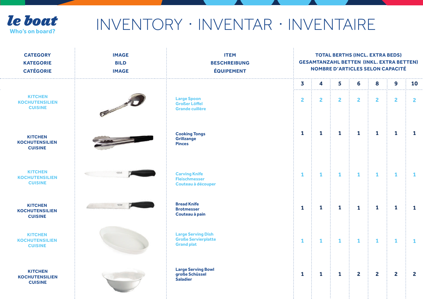

## **Ie boat** INVENTORY · INVENTAR · INVENTAIRE

| <b>CATEGORY</b><br><b>KATEGORIE</b><br><b>CATÉGORIE</b>   | <b>IMAGE</b><br><b>BILD</b><br><b>IMAGE</b> | <b>ITEM</b><br><b>BESCHREIBUNG</b><br><b>ÉQUIPEMENT</b>                      | <b>TOTAL BERTHS (INCL. EXTRA BEDS)</b><br><b>GESAMTANZAHL BETTEN (INKL. EXTRA BETTEN)</b><br><b>NOMBRE D'ARTICLES SELON CAPACITÉ</b> |                |                |                |                |                         |                |  |
|-----------------------------------------------------------|---------------------------------------------|------------------------------------------------------------------------------|--------------------------------------------------------------------------------------------------------------------------------------|----------------|----------------|----------------|----------------|-------------------------|----------------|--|
|                                                           |                                             |                                                                              | $\overline{\mathbf{3}}$<br>.                                                                                                         |                | 5              | 6              | 8              | 9                       | 10             |  |
| <b>KITCHEN</b><br><b>KOCHUTENSILIEN</b><br><b>CUISINE</b> | <b>CONTRACTOR</b>                           | <b>Large Spoon</b><br><b>Großer Löffel</b><br><b>Grande cuillère</b>         | $\overline{2}$                                                                                                                       | $\overline{2}$ | $\overline{2}$ | $\overline{2}$ | $\overline{2}$ | $\overline{2}$          | $\overline{2}$ |  |
| <b>KITCHEN</b><br><b>KOCHUTENSILIEN</b><br><b>CUISINE</b> |                                             | <b>Cooking Tongs</b><br>Grillzange<br><b>Pinces</b>                          | $\mathbf{1}$                                                                                                                         | $\mathbf{1}$   | $\mathbf{1}$   | $\mathbf{1}$   | $\mathbf{1}$   | $\mathbf{1}$            | $\mathbf{1}$   |  |
| <b>KITCHEN</b><br><b>KOCHUTENSILIEN</b><br><b>CUISINE</b> |                                             | <b>Carving Knife</b><br><b>Fleischmesser</b><br>Couteau à découper           | $\mathbf{1}$                                                                                                                         | $\mathbf{1}$   | $\mathbf{1}$   | $\mathbf{1}$   | $\mathbf{1}$   | $\mathbf{1}$            | $\mathbf{1}$   |  |
| <b>KITCHEN</b><br><b>KOCHUTENSILIEN</b><br><b>CUISINE</b> | <b><i>LOCAS</i></b>                         | <b>Bread Knife</b><br><b>Brotmesser</b><br>Couteau à pain                    | $\mathbf{1}$                                                                                                                         | $\mathbf{1}$   | $\mathbf{1}$   | $\mathbf{1}$   | $\mathbf{1}$   | $\mathbf{1}$            | $\mathbf{1}$   |  |
| <b>KITCHEN</b><br><b>KOCHUTENSILIEN</b><br><b>CUISINE</b> |                                             | <b>Large Serving Dish</b><br><b>Große Servierplatte</b><br><b>Grand plat</b> | $\mathbf{1}$                                                                                                                         | 1              | $\mathbf{1}$   | $\mathbf{1}$   | $\mathbf{1}$   | $\mathbf{1}$            | $\mathbf{1}$   |  |
| <b>KITCHEN</b><br><b>KOCHUTENSILIEN</b><br><b>CUISINE</b> |                                             | <b>Large Serving Bowl</b><br>große Schüssel<br><b>Saladier</b>               | $\mathbf{1}$                                                                                                                         | $\mathbf 1$    | $\mathbf{1}$   | $\overline{2}$ | $\overline{2}$ | $\overline{\mathbf{2}}$ | $\mathbf{2}$   |  |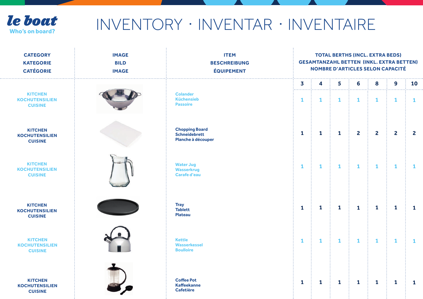

| <b>CATEGORY</b><br><b>KATEGORIE</b><br><b>CATÉGORIE</b>   | <b>IMAGE</b><br><b>BILD</b><br><b>IMAGE</b> | <b>ITEM</b><br><b>BESCHREIBUNG</b><br><b>ÉQUIPEMENT</b>             | <b>TOTAL BERTHS (INCL. EXTRA BEDS)</b><br><b>GESAMTANZAHL BETTEN (INKL. EXTRA BETTEN)</b><br><b>NOMBRE D'ARTICLES SELON CAPACITÉ</b> |              |              |                |                |                |                |
|-----------------------------------------------------------|---------------------------------------------|---------------------------------------------------------------------|--------------------------------------------------------------------------------------------------------------------------------------|--------------|--------------|----------------|----------------|----------------|----------------|
|                                                           |                                             |                                                                     | $\overline{\mathbf{3}}$                                                                                                              | 4            | 5            | 6              | 8              | 9              | 10             |
| <b>KITCHEN</b><br><b>KOCHUTENSILIEN</b><br><b>CUISINE</b> |                                             | <b>Colander</b><br><b>Küchensieb</b><br><b>Passoire</b>             | $\cdots$<br>$\mathbf{1}$                                                                                                             | $\mathbf{1}$ | $\mathbf{1}$ | $\mathbf{1}$   | $\mathbf{1}$   | $\mathbf{1}$   | $\mathbf{1}$   |
| <b>KITCHEN</b><br><b>KOCHUTENSILIEN</b><br><b>CUISINE</b> |                                             | <b>Chopping Board</b><br><b>Schneidebrett</b><br>Planche à découper | $\mathbf{1}$                                                                                                                         | $\mathbf{1}$ | $\mathbf{1}$ | $\overline{2}$ | $\overline{2}$ | $\overline{2}$ | $\overline{2}$ |
| <b>KITCHEN</b><br><b>KOCHUTENSILIEN</b><br><b>CUISINE</b> |                                             | <b>Water Jug</b><br><b>Wasserkrug</b><br><b>Carafe d'eau</b>        | $\mathbf{1}$                                                                                                                         | $\mathbf{1}$ | 1            | $\mathbf{1}$   | $\mathbf{1}$   | $\mathbf{1}$   | 1              |
| <b>KITCHEN</b><br><b>KOCHUTENSILIEN</b><br><b>CUISINE</b> |                                             | <b>Tray</b><br><b>Tablett</b><br><b>Plateau</b>                     | $\mathbf{1}$                                                                                                                         | 1            | $\mathbf{1}$ | $\mathbf{1}$   | $\mathbf{1}$   | $\mathbf{1}$   | $\mathbf{1}$   |
| <b>KITCHEN</b><br><b>KOCHUTENSILIEN</b><br><b>CUISINE</b> |                                             | <b>Kettle</b><br>Wasserkessel<br><b>Boulloire</b>                   | $\mathbf{1}$                                                                                                                         | $\mathbf{1}$ | $\mathbf{1}$ | $\mathbf{1}$   | $\mathbf{1}$   | $\mathbf{1}$   | 1              |
| <b>KITCHEN</b><br><b>KOCHUTENSILIEN</b><br><b>CUISINE</b> |                                             | <b>Coffee Pot</b><br><b>Kaffeekanne</b><br><b>Cafetière</b>         | $\mathbf{1}$                                                                                                                         | 1            | $\mathbf{1}$ | $\mathbf{1}$   | $\mathbf{1}$   | $\mathbf{1}$   | $\mathbf{1}$   |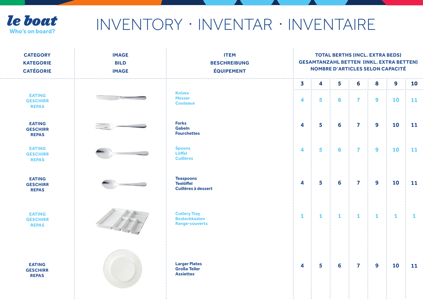

| <b>CATEGORY</b><br><b>KATEGORIE</b><br><b>CATÉGORIE</b> | <b>IMAGE</b><br><b>BILD</b><br><b>IMAGE</b> | <b>ITEM</b><br><b>BESCHREIBUNG</b><br><b>ÉQUIPEMENT</b>              | <b>TOTAL BERTHS (INCL. EXTRA BEDS)</b><br><b>GESAMTANZAHL BETTEN (INKL. EXTRA BETTEN)</b><br><b>NOMBRE D'ARTICLES SELON CAPACITÉ</b> |              |              |                         |                  |              |              |  |
|---------------------------------------------------------|---------------------------------------------|----------------------------------------------------------------------|--------------------------------------------------------------------------------------------------------------------------------------|--------------|--------------|-------------------------|------------------|--------------|--------------|--|
|                                                         |                                             |                                                                      | .<br>3                                                                                                                               | 4            | 5            | 6                       | 8                | 9            | 10           |  |
| <b>EATING</b><br><b>GESCHIRR</b><br><b>REPAS</b>        |                                             | <b>Knives</b><br><b>Messer</b><br><b>Couteaux</b>                    | 4                                                                                                                                    | 5            | 6            | $\overline{\mathbf{z}}$ | $\boldsymbol{9}$ | 10           | 11           |  |
| <b>EATING</b><br><b>GESCHIRR</b><br><b>REPAS</b>        |                                             | <b>Forks</b><br><b>Gabeln</b><br><b>Fourchettes</b>                  | 4                                                                                                                                    | 5            | 6            | $\overline{\mathbf{z}}$ | 9                | 10           | 11           |  |
| <b>EATING</b><br><b>GESCHIRR</b><br><b>REPAS</b>        |                                             | <b>Spoons</b><br>Löffel<br><b>Cuillères</b>                          | 4                                                                                                                                    | 5            | 6            | $\overline{\mathbf{z}}$ | $\boldsymbol{9}$ | 10           | 11           |  |
| <b>EATING</b><br><b>GESCHIRR</b><br><b>REPAS</b>        |                                             | <b>Teaspoons</b><br><b>Teelöffel</b><br>Cuillères à dessert          | 4                                                                                                                                    | 5            | 6            | $\overline{\mathbf{z}}$ | $\boldsymbol{9}$ | 10           | 11           |  |
| <b>EATING</b><br><b>GESCHIRR</b><br><b>REPAS</b>        |                                             | <b>Cutlery Tray</b><br><b>Besteckkasten</b><br><b>Range-couverts</b> | $\mathbf{1}$                                                                                                                         | $\mathbf{1}$ | $\mathbf{1}$ | $\mathbf{1}$            | $\mathbf{1}$     | $\mathbf{1}$ | $\mathbf{1}$ |  |
| <b>EATING</b><br><b>GESCHIRR</b><br><b>REPAS</b>        |                                             | <b>Larger Plates</b><br><b>Große Teller</b><br><b>Assiettes</b>      | 4                                                                                                                                    | 5            | 6            | $\overline{\mathbf{z}}$ | 9                | 10           | 11           |  |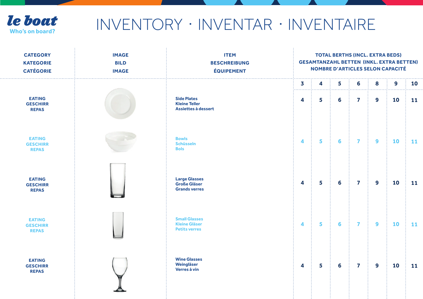

| <b>IMAGE</b><br><b>BILD</b><br><b>IMAGE</b> | <b>ITEM</b><br><b>BESCHREIBUNG</b><br><b>ÉQUIPEMENT</b>              | <b>TOTAL BERTHS (INCL. EXTRA BEDS)</b><br><b>GESAMTANZAHL BETTEN (INKL. EXTRA BETTEN)</b><br><b>NOMBRE D'ARTICLES SELON CAPACITÉ</b> |   |                |                         |                  |    |    |  |
|---------------------------------------------|----------------------------------------------------------------------|--------------------------------------------------------------------------------------------------------------------------------------|---|----------------|-------------------------|------------------|----|----|--|
|                                             |                                                                      | $\overline{\mathbf{3}}$                                                                                                              | 4 | 5              | 6                       | 8                | 9  | 10 |  |
|                                             | <b>Side Plates</b><br><b>Kleine Teller</b><br>Assiettes à dessert    | $\overline{\mathbf{4}}$                                                                                                              | 5 | 6              | $\overline{\mathbf{z}}$ | $\overline{9}$   | 10 | 11 |  |
|                                             | <b>Bowls</b><br><b>Schüsseln</b><br><b>Bols</b>                      | $\overline{\mathbf{A}}$                                                                                                              | 5 | $6\phantom{a}$ | $\overline{\mathbf{z}}$ | $\overline{9}$   | 10 | 11 |  |
|                                             | <b>Large Glasses</b><br><b>Große Gläser</b><br><b>Grands verres</b>  | $\overline{\mathbf{4}}$                                                                                                              | 5 | 6              | $\overline{\mathbf{z}}$ | $\overline{9}$   | 10 | 11 |  |
|                                             | <b>Small Glasses</b><br><b>Kleine Gläser</b><br><b>Petits verres</b> | $\overline{\mathbf{4}}$                                                                                                              | 5 | 6              | $\overline{\mathbf{z}}$ | $\boldsymbol{9}$ | 10 | 11 |  |
|                                             | <b>Wine Glasses</b><br>Weingläser<br>Verres à vin                    | $\overline{\mathbf{4}}$                                                                                                              | 5 | 6              | $\overline{\mathbf{z}}$ | 9                | 10 | 11 |  |
|                                             |                                                                      |                                                                                                                                      |   |                |                         |                  |    |    |  |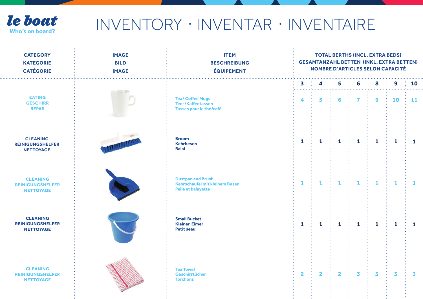

## **Ie boat** INVENTORY · INVENTAR · INVENTAIRE

| <b>CATEGORY</b><br><b>KATEGORIE</b><br><b>CATÉGORIE</b>        | <b>IMAGE</b><br><b>BILD</b><br><b>IMAGE</b> | <b>ITEM</b><br><b>BESCHREIBUNG</b><br><b>ÉQUIPEMENT</b>                                 | <b>TOTAL BERTHS (INCL. EXTRA BEDS)</b><br><b>GESAMTANZAHL BETTEN (INKL. EXTRA BETTEN)</b><br><b>NOMBRE D'ARTICLES SELON CAPACITÉ</b> |                |                         |                     |              |              |                 |
|----------------------------------------------------------------|---------------------------------------------|-----------------------------------------------------------------------------------------|--------------------------------------------------------------------------------------------------------------------------------------|----------------|-------------------------|---------------------|--------------|--------------|-----------------|
| <b>EATING</b><br><b>GESCHIRR</b><br><b>REPAS</b>               | Title                                       | <b>Tea/ Coffee Mugs</b><br><b>Tee-/Kaffeetassen</b><br>Tasses pour le thé/café          | 3<br>4                                                                                                                               | 4<br>5         | 5<br>6                  | 6<br>$\overline{7}$ | 8<br>9       | 9<br>10      | 10<br><b>11</b> |
| <b>CLEANING</b><br><b>REINIGUNGSHELFER</b><br><b>NETTOYAGE</b> |                                             | <b>Broom</b><br><b>Kehrbesen</b><br><b>Balai</b>                                        | $\mathbf{1}$                                                                                                                         | $\mathbf{1}$   | $\mathbf{1}$            | $\mathbf{1}$        | $\mathbf{1}$ | $\mathbf{1}$ | $\mathbf{1}$    |
| <b>CLEANING</b><br><b>REINIGUNGSHELFER</b><br><b>NETTOYAGE</b> |                                             | <b>Dustpan and Brush</b><br>Kehrschaufel mit kleinem Besen<br><b>Pelle et balayette</b> | $\mathbf{1}$                                                                                                                         | $\mathbf{1}$   | $\mathbf{1}$            | $\mathbf{1}$        | $\mathbf{1}$ | $\mathbf{1}$ | $\mathbf{1}$    |
| <b>CLEANING</b><br><b>REINIGUNGSHELFER</b><br><b>NETTOYAGE</b> |                                             | <b>Small Bucket</b><br><b>Kleiner Eimer</b><br><b>Petit seau</b>                        | $\mathbf{1}$                                                                                                                         | $\mathbf{1}$   | $\mathbf{1}$            | $\mathbf{1}$        | $\mathbf{1}$ | $\mathbf{1}$ | $\mathbf{1}$    |
| <b>CLEANING</b><br><b>REINIGUNGSHELFER</b><br><b>NETTOYAGE</b> |                                             | <b>Tea Towel</b><br>Geschirrtücher<br><b>Torchons</b>                                   | $\mathbf{2}$                                                                                                                         | $\overline{2}$ | $\overline{\mathbf{2}}$ | 3                   | 3            | 3            | 3               |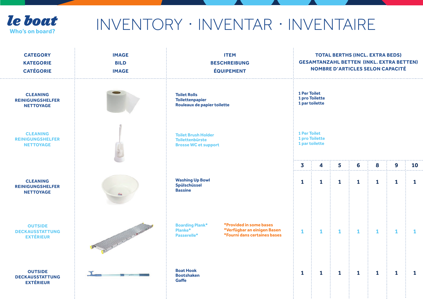

| <b>CATEGORY</b><br><b>KATEGORIE</b><br><b>CATÉGORIE</b>        | <b>IMAGE</b><br><b>BILD</b><br><b>IMAGE</b> | <b>ITEM</b><br><b>BESCHREIBUNG</b><br><b>ÉQUIPEMENT</b>                                                                                                |                                                         | <b>TOTAL BERTHS (INCL. EXTRA BEDS)</b><br><b>GESAMTANZAHL BETTEN (INKL. EXTRA BETTEN)</b><br><b>NOMBRE D'ARTICLES SELON CAPACITÉ</b> |                        |                        |                   |                        |                    |  |
|----------------------------------------------------------------|---------------------------------------------|--------------------------------------------------------------------------------------------------------------------------------------------------------|---------------------------------------------------------|--------------------------------------------------------------------------------------------------------------------------------------|------------------------|------------------------|-------------------|------------------------|--------------------|--|
| <b>CLEANING</b><br><b>REINIGUNGSHELFER</b><br><b>NETTOYAGE</b> |                                             | <b>Toilet Rolls</b><br><b>Toilettenpapier</b><br>Rouleaux de papier toilette                                                                           | 1 Per Toilet<br>1 pro Toilette<br>1 par toilette        |                                                                                                                                      |                        |                        |                   |                        |                    |  |
| <b>CLEANING</b><br><b>REINIGUNGSHELFER</b><br><b>NETTOYAGE</b> |                                             | <b>Toilet Brush Holder</b><br><b>Toilettenbürste</b><br><b>Brosse WC et support</b>                                                                    | <b>1 Per Toilet</b><br>1 pro Toilette<br>1 par toilette |                                                                                                                                      |                        |                        |                   |                        |                    |  |
| <b>CLEANING</b><br><b>REINIGUNGSHELFER</b><br><b>NETTOYAGE</b> |                                             | <b>Washing Up Bowl</b><br>Spülschüssel<br><b>Bassine</b>                                                                                               | 3<br>.<br>$\mathbf{1}$                                  | 4<br>$\mathbf{1}$                                                                                                                    | 5<br>.<br>$\mathbf{1}$ | 6<br>.<br>$\mathbf{1}$ | 8<br>$\mathbf{1}$ | 9<br>.<br>$\mathbf{1}$ | 10<br>$\mathbf{1}$ |  |
| <b>OUTSIDE</b><br><b>DECKAUSSTATTUNG</b><br><b>EXTÉRIEUR</b>   | Contractor of the Contractor                | *Provided in some bases<br><b>Boarding Plank*</b><br>Planke <sup>*</sup><br>*Verfügbar an einigen Basen<br>*Fourni dans certaines bases<br>Passerelle* | $\mathbf{1}$                                            | $\mathbf{1}$                                                                                                                         | 1                      | $\mathbf{1}$           | 1                 | 1                      | 1                  |  |
| <b>OUTSIDE</b><br><b>DECKAUSSTATTUNG</b><br><b>EXTÉRIEUR</b>   |                                             | <b>Boat Hook</b><br><b>Bootshaken</b><br><b>Gaffe</b>                                                                                                  | $\mathbf{1}$                                            | $\mathbf{1}$                                                                                                                         | $\mathbf{1}$           | $\mathbf{1}$           | 1                 | $\mathbf{1}$           | $\mathbf{1}$       |  |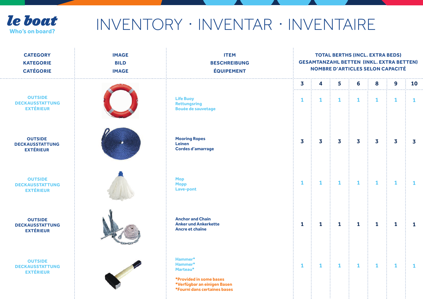

## **Ie boat** INVENTORY · INVENTAR · INVENTAIRE

| <b>CATEGORY</b><br><b>KATEGORIE</b><br><b>CATÉGORIE</b>      | <b>IMAGE</b><br><b>BILD</b><br><b>IMAGE</b> | <b>ITEM</b><br><b>BESCHREIBUNG</b><br><b>ÉQUIPEMENT</b>                                                                  | <b>TOTAL BERTHS (INCL. EXTRA BEDS)</b><br><b>GESAMTANZAHL BETTEN (INKL. EXTRA BETTEN)</b><br><b>NOMBRE D'ARTICLES SELON CAPACITÉ</b> |                         |              |              |                         |                         |              |  |
|--------------------------------------------------------------|---------------------------------------------|--------------------------------------------------------------------------------------------------------------------------|--------------------------------------------------------------------------------------------------------------------------------------|-------------------------|--------------|--------------|-------------------------|-------------------------|--------------|--|
|                                                              |                                             |                                                                                                                          | 3                                                                                                                                    | 4                       | 5            | 6            | 8                       | 9                       | <b>10</b>    |  |
| <b>OUTSIDE</b><br><b>DECKAUSSTATTUNG</b><br><b>EXTÉRIEUR</b> |                                             | <b>Life Buoy</b><br><b>Rettungsring</b><br><b>Bouée de sauvetage</b>                                                     | $\mathbf{1}$                                                                                                                         | $\mathbf{1}$            | $\mathbf{1}$ | $\mathbf{1}$ | $\mathbf{1}$            | $\mathbf{1}$            | $\mathbf{1}$ |  |
| <b>OUTSIDE</b><br><b>DECKAUSSTATTUNG</b><br><b>EXTÉRIEUR</b> |                                             | <b>Mooring Ropes</b><br>Leinen<br><b>Cordes d'amarrage</b>                                                               | 3                                                                                                                                    | $\overline{\mathbf{3}}$ | 3            | 3            | $\overline{\mathbf{3}}$ | $\overline{\mathbf{3}}$ | 3            |  |
| <b>OUTSIDE</b><br><b>DECKAUSSTATTUNG</b><br><b>EXTÉRIEUR</b> |                                             | <b>Mop</b><br><b>Mopp</b><br>Lave-pont                                                                                   | $\mathbf{1}$                                                                                                                         | $\mathbf{1}$            | $\mathbf{1}$ | $\mathbf{1}$ | $\mathbf{1}$            | $\mathbf{1}$            | $\mathbf{1}$ |  |
| <b>OUTSIDE</b><br><b>DECKAUSSTATTUNG</b><br><b>EXTÉRIEUR</b> |                                             | <b>Anchor and Chain</b><br><b>Anker und Ankerkette</b><br>Ancre et chaîne                                                | $\mathbf{1}$                                                                                                                         | 1                       | $\mathbf{1}$ | $\mathbf{1}$ | $\mathbf{1}$            | $\mathbf{1}$            | $\mathbf{1}$ |  |
| <b>OUTSIDE</b><br><b>DECKAUSSTATTUNG</b><br><b>EXTÉRIEUR</b> |                                             | Hammer*<br>Hammer*<br>Marteau*<br>*Provided in some bases<br>*Verfügbar an einigen Basen<br>*Fourni dans certaines bases | $\mathbf{1}$                                                                                                                         | $\mathbf{1}$            | 1            | $\mathbf{1}$ | $\mathbf{1}$            | $\mathbf{1}$            | 1            |  |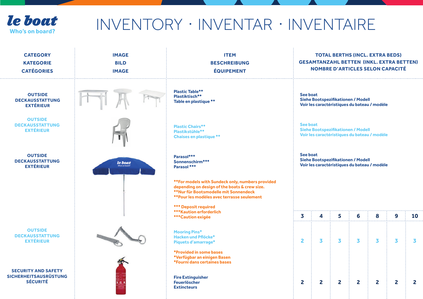

. . .

| <b>CATEGORY</b><br><b>KATEGORIE</b><br><b>CATÉGORIES</b>                      | <b>IMAGE</b><br><b>BILD</b><br><b>IMAGE</b> | <b>ITEM</b><br><b>BESCHREIBUNG</b><br><b>ÉQUIPEMENT</b>                                                                                                                                   |                                                                                                | <b>TOTAL BERTHS (INCL. EXTRA BEDS)</b><br><b>GESAMTANZAHL BETTEN (INKL. EXTRA BETTEN)</b><br><b>NOMBRE D'ARTICLES SELON CAPACITÉ</b> |              |              |                                              |              |                         |  |  |
|-------------------------------------------------------------------------------|---------------------------------------------|-------------------------------------------------------------------------------------------------------------------------------------------------------------------------------------------|------------------------------------------------------------------------------------------------|--------------------------------------------------------------------------------------------------------------------------------------|--------------|--------------|----------------------------------------------|--------------|-------------------------|--|--|
| <b>OUTSIDE</b><br><b>DECKAUSSTATTUNG</b><br><b>EXTÉRIEUR</b>                  |                                             | <b>Plastic Table**</b><br>Plastiktisch**<br>Table en plastique **                                                                                                                         | See boat                                                                                       | Siehe Bootspezifikationen / Modell                                                                                                   |              |              | Voir les caractéristiques du bateau / modèle |              |                         |  |  |
| <b>OUTSIDE</b><br><b>DECKAUSSTATTUNG</b><br><b>EXTÉRIEUR</b>                  |                                             | <b>Plastic Chairs**</b><br>Plastikstühle**<br><b>Chaises en plastique **</b>                                                                                                              |                                                                                                | See boat<br>Siehe Bootspezifikationen / Modell<br>Voir les caractéristiques du bateau / modèle                                       |              |              |                                              |              |                         |  |  |
| <b>OUTSIDE</b><br><b>DECKAUSSTATTUNG</b><br><b>EXTÉRIEUR</b>                  | le boat                                     | Parasol***<br>Sonnenschirm***<br>Parasol ***                                                                                                                                              | See boat<br>Siehe Bootspezifikationen / Modell<br>Voir les caractéristiques du bateau / modèle |                                                                                                                                      |              |              |                                              |              |                         |  |  |
|                                                                               |                                             | ** For models with Sundeck only, numbers provided<br>depending on design of the boats & crew size.<br>**Nur für Bootsmodelle mit Sonnendeck<br>**Pour les modèles avec terrasse seulement |                                                                                                |                                                                                                                                      |              |              |                                              |              |                         |  |  |
|                                                                               |                                             | <b>*** Deposit required</b><br><b>***Kaution erforderlich</b><br><b>***Caution exigée</b>                                                                                                 | 3                                                                                              | 4                                                                                                                                    | 5            | 6            | 8                                            | 9            | 10                      |  |  |
| <b>OUTSIDE</b><br><b>DECKAUSSTATTUNG</b><br><b>EXTÉRIEUR</b>                  |                                             | <b>Mooring Pins*</b><br>Hacken und Pflöcke*<br>Piquets d'amarrage*                                                                                                                        | $\overline{2}$                                                                                 | $\overline{\mathbf{3}}$                                                                                                              | 3            | 3            | $\overline{\mathbf{3}}$                      | 3            | $\overline{\mathbf{3}}$ |  |  |
|                                                                               |                                             | *Provided in some bases<br>*Verfügbar an einigen Basen<br>*Fourni dans certaines bases                                                                                                    |                                                                                                |                                                                                                                                      |              |              |                                              |              |                         |  |  |
| <b>SECURITY AND SAFETY</b><br><b>SICHERHEITSAUSRÜSTUNG</b><br><b>SÉCURITÉ</b> |                                             | <b>Fire Extinguisher</b><br><b>Feuerlöscher</b><br><b>Extincteurs</b>                                                                                                                     | $\mathbf{2}$                                                                                   | $\overline{2}$                                                                                                                       | $\mathbf{2}$ | $\mathbf{2}$ | $\overline{2}$                               | $\mathbf{2}$ | $\mathbf{2}$            |  |  |